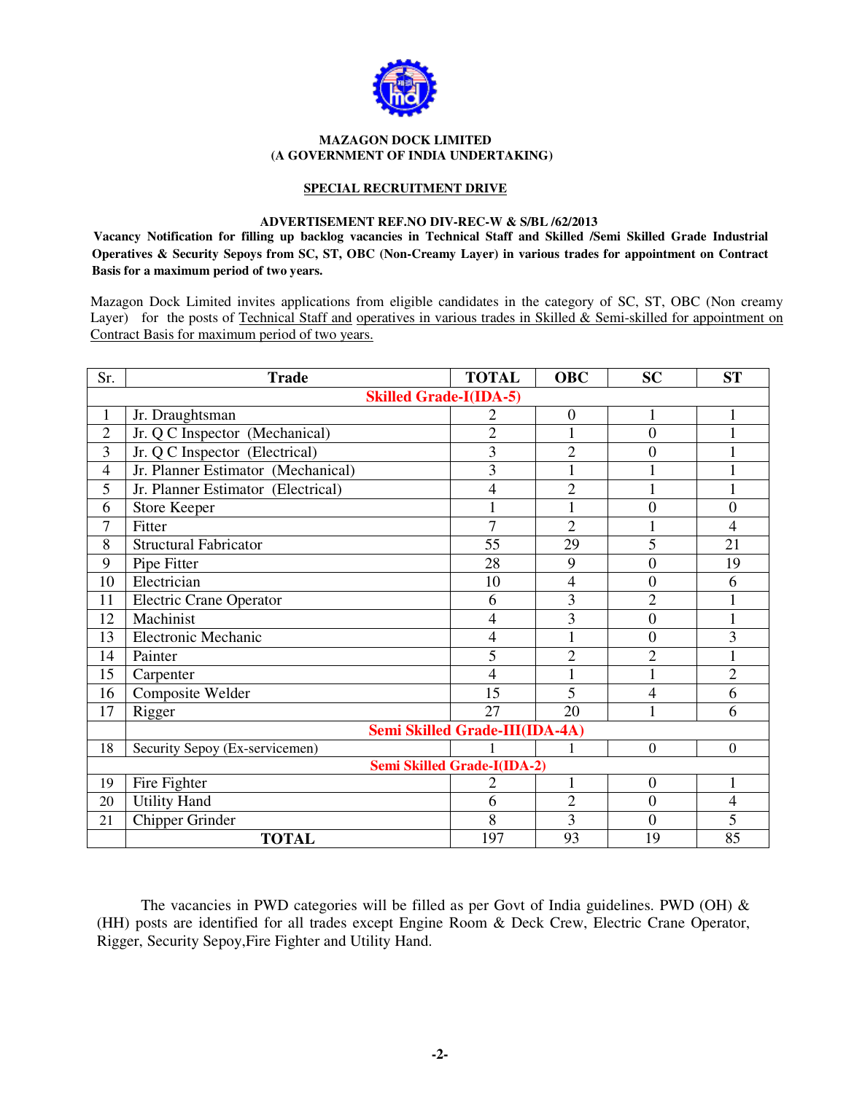

#### **MAZAGON DOCK LIMITED (A GOVERNMENT OF INDIA UNDERTAKING)**

#### **SPECIAL RECRUITMENT DRIVE**

#### **ADVERTISEMENT REF.NO DIV-REC-W & S/BL /62/2013**

**Vacancy Notification for filling up backlog vacancies in Technical Staff and Skilled /Semi Skilled Grade Industrial Operatives & Security Sepoys from SC, ST, OBC (Non-Creamy Layer) in various trades for appointment on Contract Basis for a maximum period of two years.** 

Mazagon Dock Limited invites applications from eligible candidates in the category of SC, ST, OBC (Non creamy Layer) for the posts of Technical Staff and operatives in various trades in Skilled & Semi-skilled for appointment on Contract Basis for maximum period of two years.

| Sr.            | <b>Trade</b>                       | <b>TOTAL</b>                   | <b>OBC</b>       | <b>SC</b>        | <b>ST</b>      |  |  |  |
|----------------|------------------------------------|--------------------------------|------------------|------------------|----------------|--|--|--|
|                | <b>Skilled Grade-I(IDA-5)</b>      |                                |                  |                  |                |  |  |  |
| 1              | Jr. Draughtsman                    | 2                              | $\boldsymbol{0}$ | 1                |                |  |  |  |
| $\overline{2}$ | Jr. Q C Inspector (Mechanical)     | $\overline{2}$                 | 1                | $\boldsymbol{0}$ | 1              |  |  |  |
| 3              | Jr. Q C Inspector (Electrical)     | 3                              | $\overline{2}$   | $\overline{0}$   |                |  |  |  |
| 4              | Jr. Planner Estimator (Mechanical) | 3                              |                  |                  |                |  |  |  |
| 5              | Jr. Planner Estimator (Electrical) | $\overline{4}$                 | $\overline{2}$   | $\mathbf{1}$     |                |  |  |  |
| 6              | <b>Store Keeper</b>                | $\mathbf{1}$                   |                  | $\overline{0}$   | $\overline{0}$ |  |  |  |
| $\overline{7}$ | Fitter                             | $\overline{7}$                 | $\overline{2}$   |                  | 4              |  |  |  |
| 8              | <b>Structural Fabricator</b>       | 55                             | 29               | 5                | 21             |  |  |  |
| 9              | Pipe Fitter                        | 28                             | 9                | $\overline{0}$   | 19             |  |  |  |
| 10             | Electrician                        | 10                             | 4                | $\overline{0}$   | 6              |  |  |  |
| 11             | <b>Electric Crane Operator</b>     | 6                              | 3                | $\overline{2}$   |                |  |  |  |
| 12             | Machinist                          | 4                              | 3                | $\overline{0}$   |                |  |  |  |
| 13             | <b>Electronic Mechanic</b>         | 4                              |                  | $\overline{0}$   | 3              |  |  |  |
| 14             | Painter                            | 5                              | $\overline{2}$   | $\overline{2}$   | 1              |  |  |  |
| 15             | Carpenter                          | 4                              |                  |                  | $\overline{2}$ |  |  |  |
| 16             | Composite Welder                   | 15                             | 5                | 4                | 6              |  |  |  |
| 17             | Rigger                             | 27                             | 20               | 1                | 6              |  |  |  |
|                |                                    | Semi Skilled Grade-III(IDA-4A) |                  |                  |                |  |  |  |
| 18             | Security Sepoy (Ex-servicemen)     |                                |                  | $\overline{0}$   | $\overline{0}$ |  |  |  |
|                | <b>Semi Skilled Grade-I(IDA-2)</b> |                                |                  |                  |                |  |  |  |
| 19             | Fire Fighter                       | $\overline{2}$                 | $\mathbf{1}$     | $\boldsymbol{0}$ | 1              |  |  |  |
| 20             | <b>Utility Hand</b>                | 6                              | $\overline{2}$   | $\overline{0}$   | $\overline{4}$ |  |  |  |
| 21             | <b>Chipper Grinder</b>             | 8                              | 3                | $\overline{0}$   | 5              |  |  |  |
|                | <b>TOTAL</b>                       | 197                            | 93               | 19               | 85             |  |  |  |

The vacancies in PWD categories will be filled as per Govt of India guidelines. PWD (OH)  $\&$ (HH) posts are identified for all trades except Engine Room & Deck Crew, Electric Crane Operator, Rigger, Security Sepoy,Fire Fighter and Utility Hand.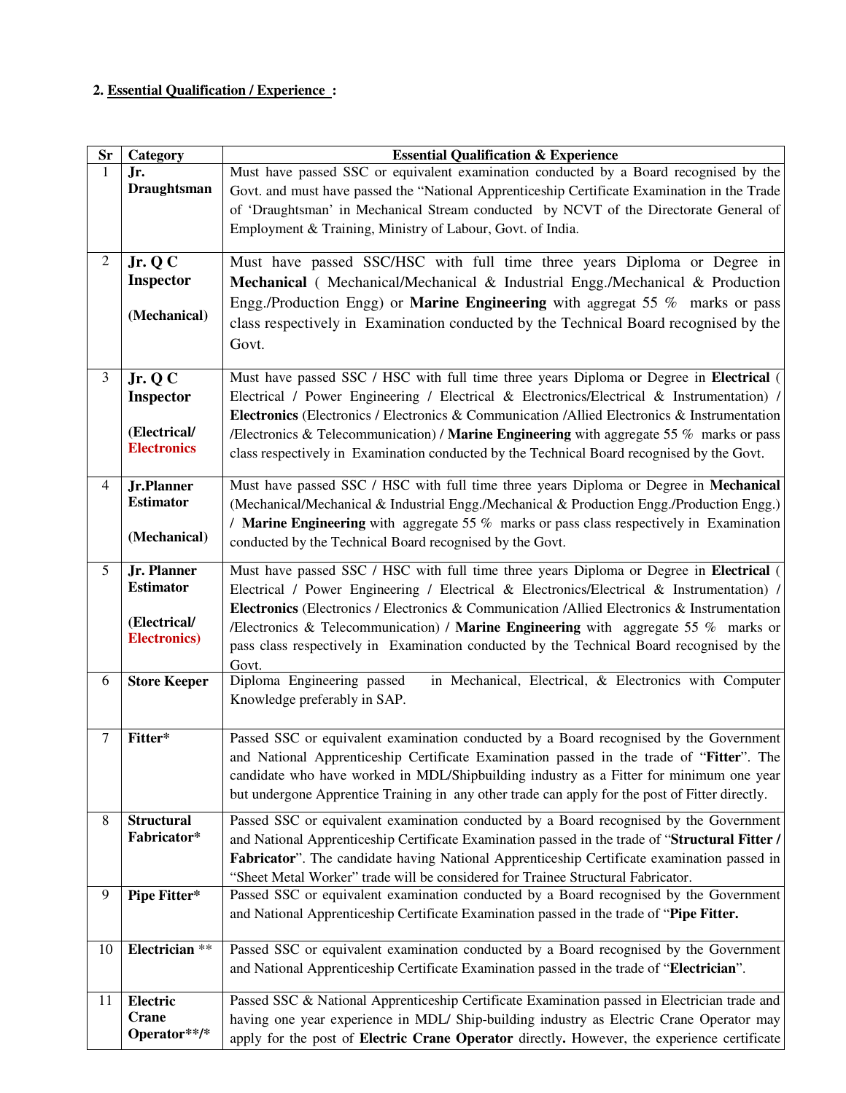# **2. Essential Qualification / Experience :**

| <b>Sr</b>      | <b>Category</b>                       | <b>Essential Qualification &amp; Experience</b>                                                 |  |  |  |  |
|----------------|---------------------------------------|-------------------------------------------------------------------------------------------------|--|--|--|--|
| 1              | Jr.                                   | Must have passed SSC or equivalent examination conducted by a Board recognised by the           |  |  |  |  |
|                | <b>Draughtsman</b>                    | Govt. and must have passed the "National Apprenticeship Certificate Examination in the Trade    |  |  |  |  |
|                |                                       | of 'Draughtsman' in Mechanical Stream conducted by NCVT of the Directorate General of           |  |  |  |  |
|                |                                       | Employment & Training, Ministry of Labour, Govt. of India.                                      |  |  |  |  |
|                |                                       |                                                                                                 |  |  |  |  |
| $\overline{2}$ | Jr. Q C                               | Must have passed SSC/HSC with full time three years Diploma or Degree in                        |  |  |  |  |
|                | <b>Inspector</b>                      | Mechanical (Mechanical/Mechanical & Industrial Engg./Mechanical & Production                    |  |  |  |  |
|                |                                       | Engg./Production Engg) or Marine Engineering with aggregat 55 % marks or pass                   |  |  |  |  |
|                | (Mechanical)                          |                                                                                                 |  |  |  |  |
|                |                                       | class respectively in Examination conducted by the Technical Board recognised by the            |  |  |  |  |
|                |                                       | Govt.                                                                                           |  |  |  |  |
|                |                                       |                                                                                                 |  |  |  |  |
| $\overline{3}$ | Jr. $Q\overline{C}$                   | Must have passed SSC / HSC with full time three years Diploma or Degree in Electrical           |  |  |  |  |
|                | <b>Inspector</b>                      | Electrical / Power Engineering / Electrical & Electronics/Electrical & Instrumentation) /       |  |  |  |  |
|                |                                       | Electronics (Electronics / Electronics & Communication / Allied Electronics & Instrumentation   |  |  |  |  |
|                | (Electrical/                          | /Electronics & Telecommunication) / Marine Engineering with aggregate 55 $%$ marks or pass      |  |  |  |  |
|                | <b>Electronics</b>                    | class respectively in Examination conducted by the Technical Board recognised by the Govt.      |  |  |  |  |
|                |                                       |                                                                                                 |  |  |  |  |
| $\overline{4}$ | <b>Jr.Planner</b><br><b>Estimator</b> | Must have passed SSC / HSC with full time three years Diploma or Degree in Mechanical           |  |  |  |  |
|                |                                       | (Mechanical/Mechanical & Industrial Engg./Mechanical & Production Engg./Production Engg.)       |  |  |  |  |
|                | (Mechanical)                          | / Marine Engineering with aggregate 55 % marks or pass class respectively in Examination        |  |  |  |  |
|                |                                       | conducted by the Technical Board recognised by the Govt.                                        |  |  |  |  |
| 5              | Jr. Planner                           | Must have passed SSC / HSC with full time three years Diploma or Degree in Electrical (         |  |  |  |  |
|                | <b>Estimator</b>                      | Electrical / Power Engineering / Electrical & Electronics/Electrical & Instrumentation) /       |  |  |  |  |
|                |                                       | Electronics (Electronics / Electronics & Communication / Allied Electronics & Instrumentation   |  |  |  |  |
|                | (Electrical/                          | /Electronics & Telecommunication) / Marine Engineering with aggregate 55 $%$ marks or           |  |  |  |  |
|                | <b>Electronics</b> )                  | pass class respectively in Examination conducted by the Technical Board recognised by the       |  |  |  |  |
|                |                                       | Govt.                                                                                           |  |  |  |  |
| 6              | <b>Store Keeper</b>                   | Diploma Engineering passed<br>in Mechanical, Electrical, & Electronics with Computer            |  |  |  |  |
|                |                                       | Knowledge preferably in SAP.                                                                    |  |  |  |  |
|                |                                       |                                                                                                 |  |  |  |  |
| $\tau$         | Fitter*                               | Passed SSC or equivalent examination conducted by a Board recognised by the Government          |  |  |  |  |
|                |                                       | and National Apprenticeship Certificate Examination passed in the trade of "Fitter". The        |  |  |  |  |
|                |                                       | candidate who have worked in MDL/Shipbuilding industry as a Fitter for minimum one year         |  |  |  |  |
|                |                                       | but undergone Apprentice Training in any other trade can apply for the post of Fitter directly. |  |  |  |  |
|                |                                       |                                                                                                 |  |  |  |  |
| 8              | <b>Structural</b>                     | Passed SSC or equivalent examination conducted by a Board recognised by the Government          |  |  |  |  |
|                | Fabricator*                           | and National Apprenticeship Certificate Examination passed in the trade of "Structural Fitter / |  |  |  |  |
|                |                                       | Fabricator". The candidate having National Apprenticeship Certificate examination passed in     |  |  |  |  |
|                |                                       | "Sheet Metal Worker" trade will be considered for Trainee Structural Fabricator.                |  |  |  |  |
| 9              | Pipe Fitter*                          | Passed SSC or equivalent examination conducted by a Board recognised by the Government          |  |  |  |  |
|                |                                       | and National Apprenticeship Certificate Examination passed in the trade of "Pipe Fitter.        |  |  |  |  |
|                |                                       |                                                                                                 |  |  |  |  |
| 10             | Electrician **                        | Passed SSC or equivalent examination conducted by a Board recognised by the Government          |  |  |  |  |
|                |                                       | and National Apprenticeship Certificate Examination passed in the trade of "Electrician".       |  |  |  |  |
| 11             | Electric                              | Passed SSC & National Apprenticeship Certificate Examination passed in Electrician trade and    |  |  |  |  |
|                | <b>Crane</b>                          | having one year experience in MDL/ Ship-building industry as Electric Crane Operator may        |  |  |  |  |
|                | Operator**/*                          | apply for the post of Electric Crane Operator directly. However, the experience certificate     |  |  |  |  |
|                |                                       |                                                                                                 |  |  |  |  |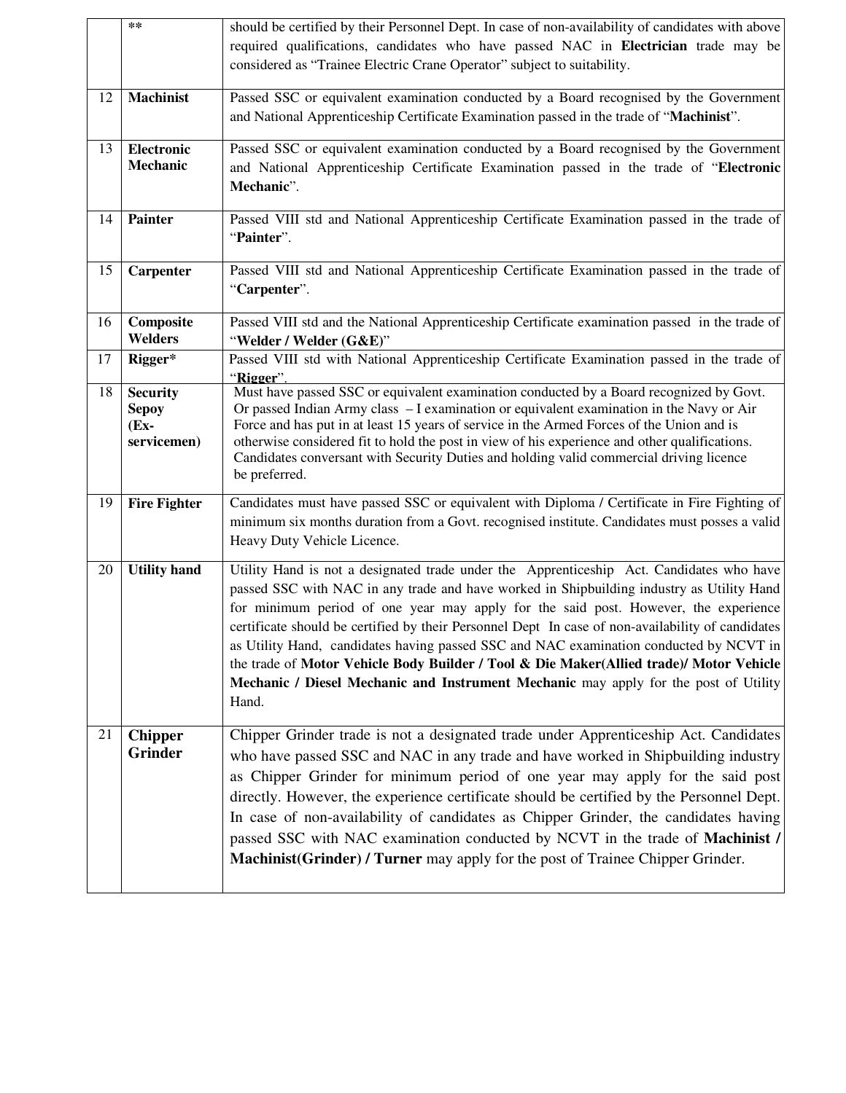|    | $\ast\ast$                                                | should be certified by their Personnel Dept. In case of non-availability of candidates with above<br>required qualifications, candidates who have passed NAC in Electrician trade may be                                                                                                                                                                                                                                                                                                                                                                                                                                                                                |
|----|-----------------------------------------------------------|-------------------------------------------------------------------------------------------------------------------------------------------------------------------------------------------------------------------------------------------------------------------------------------------------------------------------------------------------------------------------------------------------------------------------------------------------------------------------------------------------------------------------------------------------------------------------------------------------------------------------------------------------------------------------|
|    |                                                           | considered as "Trainee Electric Crane Operator" subject to suitability.                                                                                                                                                                                                                                                                                                                                                                                                                                                                                                                                                                                                 |
| 12 | <b>Machinist</b>                                          | Passed SSC or equivalent examination conducted by a Board recognised by the Government<br>and National Apprenticeship Certificate Examination passed in the trade of "Machinist".                                                                                                                                                                                                                                                                                                                                                                                                                                                                                       |
| 13 | Electronic<br>Mechanic                                    | Passed SSC or equivalent examination conducted by a Board recognised by the Government<br>and National Apprenticeship Certificate Examination passed in the trade of "Electronic<br>Mechanic".                                                                                                                                                                                                                                                                                                                                                                                                                                                                          |
| 14 | Painter                                                   | Passed VIII std and National Apprenticeship Certificate Examination passed in the trade of<br>"Painter".                                                                                                                                                                                                                                                                                                                                                                                                                                                                                                                                                                |
| 15 | Carpenter                                                 | Passed VIII std and National Apprenticeship Certificate Examination passed in the trade of<br>"Carpenter".                                                                                                                                                                                                                                                                                                                                                                                                                                                                                                                                                              |
| 16 | Composite<br><b>Welders</b>                               | Passed VIII std and the National Apprenticeship Certificate examination passed in the trade of<br>"Welder / Welder (G&E)"                                                                                                                                                                                                                                                                                                                                                                                                                                                                                                                                               |
| 17 | Rigger*                                                   | Passed VIII std with National Apprenticeship Certificate Examination passed in the trade of<br>"Rigger".                                                                                                                                                                                                                                                                                                                                                                                                                                                                                                                                                                |
| 18 | <b>Security</b><br><b>Sepoy</b><br>$(Ex -$<br>servicemen) | Must have passed SSC or equivalent examination conducted by a Board recognized by Govt.<br>Or passed Indian Army class - I examination or equivalent examination in the Navy or Air<br>Force and has put in at least 15 years of service in the Armed Forces of the Union and is<br>otherwise considered fit to hold the post in view of his experience and other qualifications.<br>Candidates conversant with Security Duties and holding valid commercial driving licence<br>be preferred.                                                                                                                                                                           |
| 19 | <b>Fire Fighter</b>                                       | Candidates must have passed SSC or equivalent with Diploma / Certificate in Fire Fighting of<br>minimum six months duration from a Govt. recognised institute. Candidates must posses a valid<br>Heavy Duty Vehicle Licence.                                                                                                                                                                                                                                                                                                                                                                                                                                            |
| 20 | <b>Utility hand</b>                                       | Utility Hand is not a designated trade under the Apprenticeship Act. Candidates who have<br>passed SSC with NAC in any trade and have worked in Shipbuilding industry as Utility Hand<br>for minimum period of one year may apply for the said post. However, the experience<br>certificate should be certified by their Personnel Dept In case of non-availability of candidates<br>as Utility Hand, candidates having passed SSC and NAC examination conducted by NCVT in<br>the trade of Motor Vehicle Body Builder / Tool & Die Maker(Allied trade)/ Motor Vehicle<br>Mechanic / Diesel Mechanic and Instrument Mechanic may apply for the post of Utility<br>Hand. |
| 21 | <b>Chipper</b><br><b>Grinder</b>                          | Chipper Grinder trade is not a designated trade under Apprenticeship Act. Candidates<br>who have passed SSC and NAC in any trade and have worked in Shipbuilding industry<br>as Chipper Grinder for minimum period of one year may apply for the said post<br>directly. However, the experience certificate should be certified by the Personnel Dept.<br>In case of non-availability of candidates as Chipper Grinder, the candidates having<br>passed SSC with NAC examination conducted by NCVT in the trade of Machinist /<br>Machinist(Grinder) / Turner may apply for the post of Trainee Chipper Grinder.                                                        |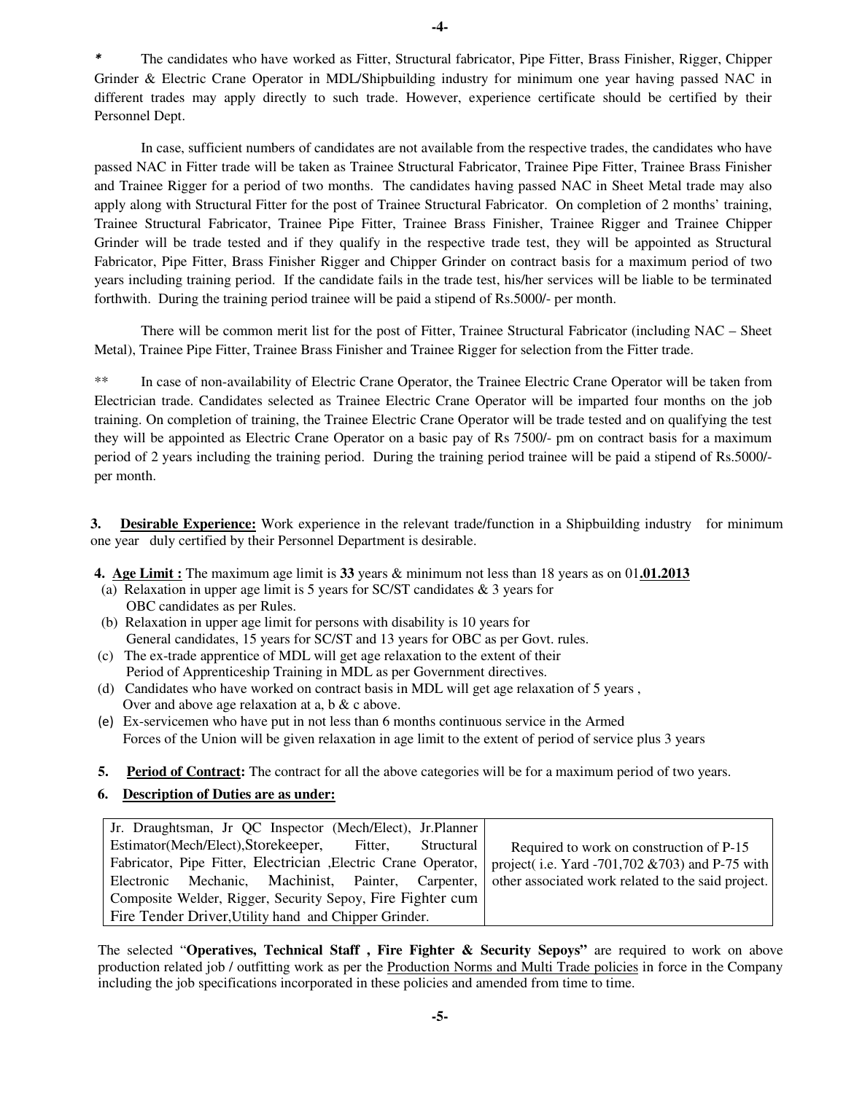*\** The candidates who have worked as Fitter, Structural fabricator, Pipe Fitter, Brass Finisher, Rigger, Chipper Grinder & Electric Crane Operator in MDL/Shipbuilding industry for minimum one year having passed NAC in different trades may apply directly to such trade. However, experience certificate should be certified by their Personnel Dept.

 In case, sufficient numbers of candidates are not available from the respective trades, the candidates who have passed NAC in Fitter trade will be taken as Trainee Structural Fabricator, Trainee Pipe Fitter, Trainee Brass Finisher and Trainee Rigger for a period of two months. The candidates having passed NAC in Sheet Metal trade may also apply along with Structural Fitter for the post of Trainee Structural Fabricator. On completion of 2 months' training, Trainee Structural Fabricator, Trainee Pipe Fitter, Trainee Brass Finisher, Trainee Rigger and Trainee Chipper Grinder will be trade tested and if they qualify in the respective trade test, they will be appointed as Structural Fabricator, Pipe Fitter, Brass Finisher Rigger and Chipper Grinder on contract basis for a maximum period of two years including training period. If the candidate fails in the trade test, his/her services will be liable to be terminated forthwith. During the training period trainee will be paid a stipend of Rs.5000/- per month.

There will be common merit list for the post of Fitter, Trainee Structural Fabricator (including NAC – Sheet Metal), Trainee Pipe Fitter, Trainee Brass Finisher and Trainee Rigger for selection from the Fitter trade.

\*\* In case of non-availability of Electric Crane Operator, the Trainee Electric Crane Operator will be taken from Electrician trade. Candidates selected as Trainee Electric Crane Operator will be imparted four months on the job training. On completion of training, the Trainee Electric Crane Operator will be trade tested and on qualifying the test they will be appointed as Electric Crane Operator on a basic pay of Rs 7500/- pm on contract basis for a maximum period of 2 years including the training period. During the training period trainee will be paid a stipend of Rs.5000/ per month.

**3. Desirable Experience:** Work experience in the relevant trade/function in a Shipbuilding industry for minimum one year duly certified by their Personnel Department is desirable.

**4. Age Limit :** The maximum age limit is **33** years & minimum not less than 18 years as on 01**.01.2013** 

- (a) Relaxation in upper age limit is 5 years for SC/ST candidates & 3 years for OBC candidates as per Rules.
- (b) Relaxation in upper age limit for persons with disability is 10 years for General candidates, 15 years for SC/ST and 13 years for OBC as per Govt. rules.
- (c) The ex-trade apprentice of MDL will get age relaxation to the extent of their Period of Apprenticeship Training in MDL as per Government directives.
- (d) Candidates who have worked on contract basis in MDL will get age relaxation of 5 years , Over and above age relaxation at a, b & c above.
- (e) Ex-servicemen who have put in not less than 6 months continuous service in the Armed Forces of the Union will be given relaxation in age limit to the extent of period of service plus 3 years
- **5. Period of Contract:** The contract for all the above categories will be for a maximum period of two years.
- **6. Description of Duties are as under:**

| Jr. Draughtsman, Jr QC Inspector (Mech/Elect), Jr. Planner      |                                                    |
|-----------------------------------------------------------------|----------------------------------------------------|
| Estimator(Mech/Elect), Storekeeper, Fitter,<br>Structural       | Required to work on construction of P-15           |
| Fabricator, Pipe Fitter, Electrician , Electric Crane Operator, | project(i.e. Yard -701,702 $&703$ ) and P-75 with  |
| Electronic Mechanic, Machinist, Painter, Carpenter,             | other associated work related to the said project. |
| Composite Welder, Rigger, Security Sepoy, Fire Fighter cum      |                                                    |
| Fire Tender Driver, Utility hand and Chipper Grinder.           |                                                    |

The selected "**Operatives, Technical Staff , Fire Fighter & Security Sepoys"** are required to work on above production related job / outfitting work as per the Production Norms and Multi Trade policies in force in the Company including the job specifications incorporated in these policies and amended from time to time.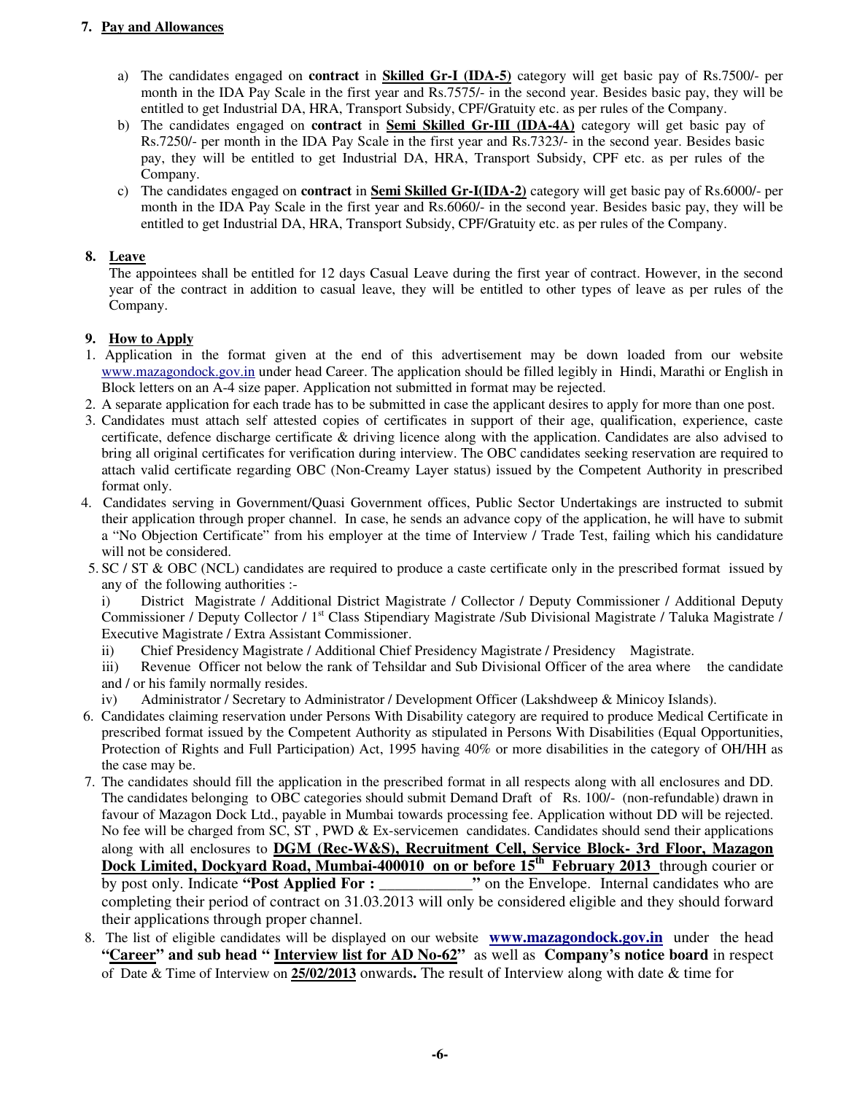# **7. Pay and Allowances**

- a) The candidates engaged on **contract** in **Skilled Gr-I (IDA-5)** category will get basic pay of Rs.7500/- per month in the IDA Pay Scale in the first year and Rs.7575/- in the second year. Besides basic pay, they will be entitled to get Industrial DA, HRA, Transport Subsidy, CPF/Gratuity etc. as per rules of the Company.
- b) The candidates engaged on **contract** in **Semi Skilled Gr-III (IDA-4A)** category will get basic pay of Rs.7250/- per month in the IDA Pay Scale in the first year and Rs.7323/- in the second year. Besides basic pay, they will be entitled to get Industrial DA, HRA, Transport Subsidy, CPF etc. as per rules of the Company.
- c) The candidates engaged on **contract** in **Semi Skilled Gr-I(IDA-2)** category will get basic pay of Rs.6000/- per month in the IDA Pay Scale in the first year and Rs.6060/- in the second year. Besides basic pay, they will be entitled to get Industrial DA, HRA, Transport Subsidy, CPF/Gratuity etc. as per rules of the Company.

# **8. Leave**

 The appointees shall be entitled for 12 days Casual Leave during the first year of contract. However, in the second year of the contract in addition to casual leave, they will be entitled to other types of leave as per rules of the Company.

# **9. How to Apply**

- 1. Application in the format given at the end of this advertisement may be down loaded from our website www.mazagondock.gov.in under head Career. The application should be filled legibly in Hindi, Marathi or English in Block letters on an A-4 size paper. Application not submitted in format may be rejected.
- 2. A separate application for each trade has to be submitted in case the applicant desires to apply for more than one post.
- 3. Candidates must attach self attested copies of certificates in support of their age, qualification, experience, caste certificate, defence discharge certificate & driving licence along with the application. Candidates are also advised to bring all original certificates for verification during interview. The OBC candidates seeking reservation are required to attach valid certificate regarding OBC (Non-Creamy Layer status) issued by the Competent Authority in prescribed format only.
- 4. Candidates serving in Government/Quasi Government offices, Public Sector Undertakings are instructed to submit their application through proper channel. In case, he sends an advance copy of the application, he will have to submit a "No Objection Certificate" from his employer at the time of Interview / Trade Test, failing which his candidature will not be considered.
- 5. SC / ST & OBC (NCL) candidates are required to produce a caste certificate only in the prescribed format issued by any of the following authorities :-

i) District Magistrate / Additional District Magistrate / Collector / Deputy Commissioner / Additional Deputy Commissioner / Deputy Collector / 1<sup>st</sup> Class Stipendiary Magistrate / Sub Divisional Magistrate / Taluka Magistrate / Executive Magistrate / Extra Assistant Commissioner.

- ii) Chief Presidency Magistrate / Additional Chief Presidency Magistrate / Presidency Magistrate.
- iii) Revenue Officer not below the rank of Tehsildar and Sub Divisional Officer of the area where the candidate and / or his family normally resides.
- iv) Administrator / Secretary to Administrator / Development Officer (Lakshdweep & Minicoy Islands).
- 6. Candidates claiming reservation under Persons With Disability category are required to produce Medical Certificate in prescribed format issued by the Competent Authority as stipulated in Persons With Disabilities (Equal Opportunities, Protection of Rights and Full Participation) Act, 1995 having 40% or more disabilities in the category of OH/HH as the case may be.
- 7. The candidates should fill the application in the prescribed format in all respects along with all enclosures and DD. The candidates belonging to OBC categories should submit Demand Draft of Rs. 100/- (non-refundable) drawn in favour of Mazagon Dock Ltd., payable in Mumbai towards processing fee. Application without DD will be rejected. No fee will be charged from SC, ST, PWD & Ex-servicemen candidates. Candidates should send their applications along with all enclosures to **DGM (Rec-W&S), Recruitment Cell, Service Block- 3rd Floor, Mazagon Dock Limited, Dockyard Road, Mumbai-400010 on or before 15th February 2013** through courier or by post only. Indicate **"Post Applied For : \_\_\_\_\_\_\_\_\_\_\_\_"** on the Envelope. Internal candidates who are completing their period of contract on 31.03.2013 will only be considered eligible and they should forward their applications through proper channel.
- 8. The list of eligible candidates will be displayed on our website **www.mazagondock.gov.in** under the head "Career" and sub head " Interview list for AD No-62" as well as Company's notice board in respect of Date & Time of Interview on **25/02/2013** onwards**.** The result of Interview along with date & time for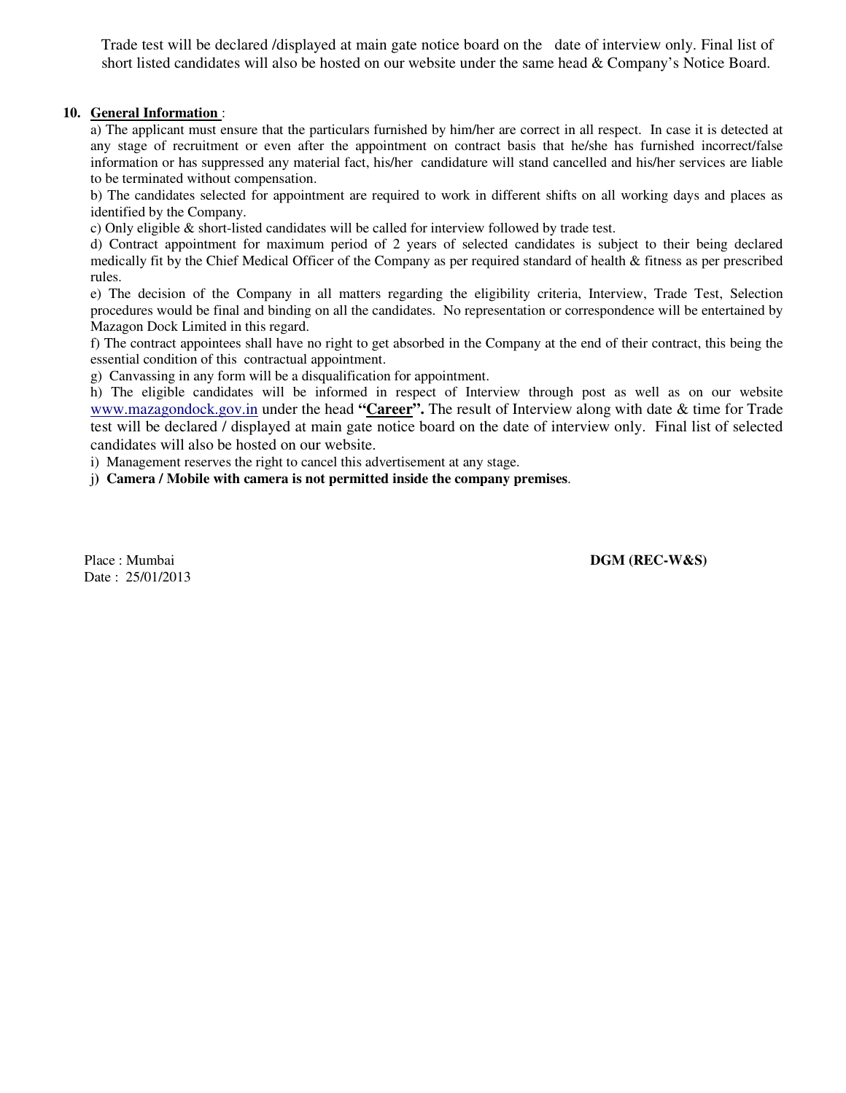Trade test will be declared /displayed at main gate notice board on the date of interview only. Final list of short listed candidates will also be hosted on our website under the same head & Company's Notice Board.

## **10. General Information** :

 a) The applicant must ensure that the particulars furnished by him/her are correct in all respect. In case it is detected at any stage of recruitment or even after the appointment on contract basis that he/she has furnished incorrect/false information or has suppressed any material fact, his/her candidature will stand cancelled and his/her services are liable to be terminated without compensation.

 b) The candidates selected for appointment are required to work in different shifts on all working days and places as identified by the Company.

c) Only eligible & short-listed candidates will be called for interview followed by trade test.

 d) Contract appointment for maximum period of 2 years of selected candidates is subject to their being declared medically fit by the Chief Medical Officer of the Company as per required standard of health & fitness as per prescribed rules.

e) The decision of the Company in all matters regarding the eligibility criteria, Interview, Trade Test, Selection procedures would be final and binding on all the candidates. No representation or correspondence will be entertained by Mazagon Dock Limited in this regard.

 f) The contract appointees shall have no right to get absorbed in the Company at the end of their contract, this being the essential condition of this contractual appointment.

g) Canvassing in any form will be a disqualification for appointment.

 h) The eligible candidates will be informed in respect of Interview through post as well as on our website www.mazagondock.gov.in under the head **"Career".** The result of Interview along with date & time for Trade test will be declared / displayed at main gate notice board on the date of interview only. Final list of selected candidates will also be hosted on our website.

i) Management reserves the right to cancel this advertisement at any stage.

j**) Camera / Mobile with camera is not permitted inside the company premises**.

Date : 25/01/2013

Place : Mumbai **DGM (REC-W&S)**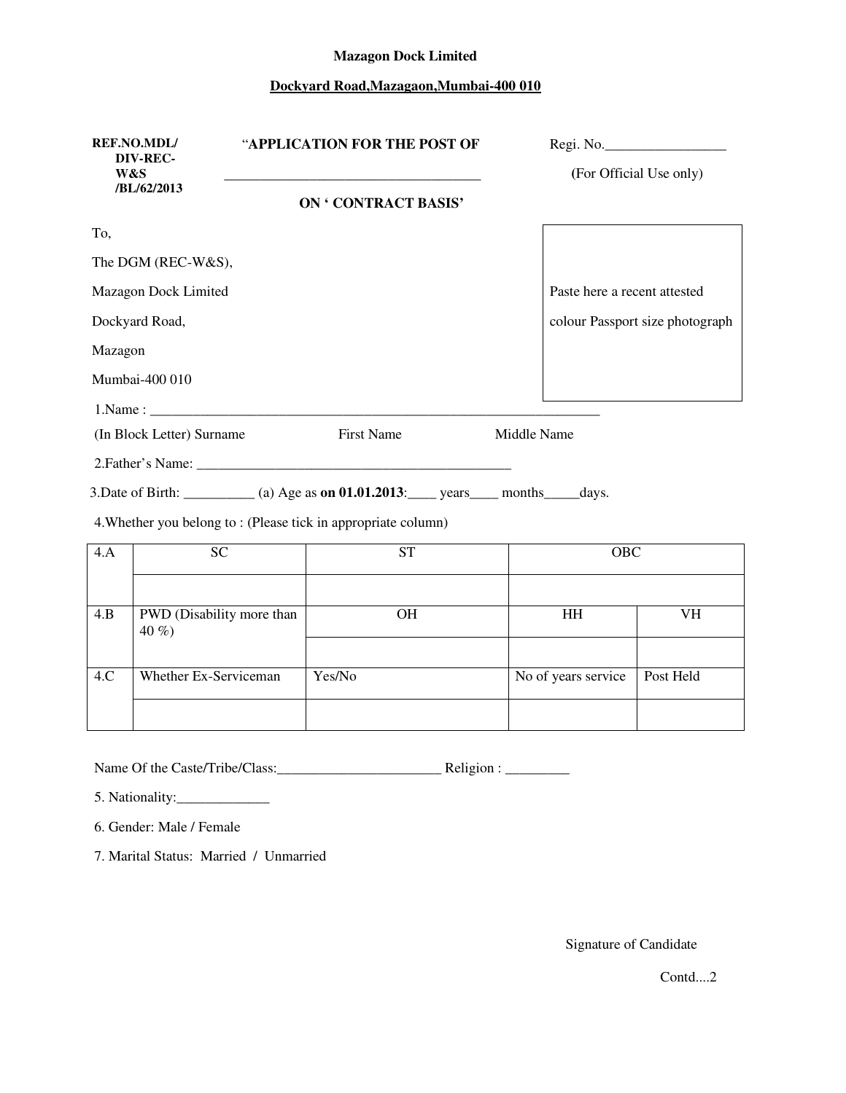#### **Mazagon Dock Limited**

# **Dockyard Road,Mazagaon,Mumbai-400 010**

| <b>REF.NO.MDL/</b><br>DIV-REC- |                                     | "APPLICATION FOR THE POST OF                                                           |             |                              | Regi. No.                       |
|--------------------------------|-------------------------------------|----------------------------------------------------------------------------------------|-------------|------------------------------|---------------------------------|
| W&S                            | /BL/62/2013                         | <b>ON ' CONTRACT BASIS'</b>                                                            |             |                              | (For Official Use only)         |
| To,                            |                                     |                                                                                        |             |                              |                                 |
|                                | The DGM (REC-W&S),                  |                                                                                        |             |                              |                                 |
|                                | Mazagon Dock Limited                |                                                                                        |             | Paste here a recent attested |                                 |
|                                | Dockyard Road,                      |                                                                                        |             |                              | colour Passport size photograph |
| Mazagon                        |                                     |                                                                                        |             |                              |                                 |
|                                | Mumbai-400 010                      |                                                                                        |             |                              |                                 |
|                                |                                     |                                                                                        |             |                              |                                 |
|                                | (In Block Letter) Surname           | <b>First Name</b>                                                                      | Middle Name |                              |                                 |
|                                |                                     |                                                                                        |             |                              |                                 |
|                                |                                     | 3. Date of Birth: ________ (a) Age as on 01.01.2013: ____ years ____ months ____ days. |             |                              |                                 |
|                                |                                     | 4. Whether you belong to: (Please tick in appropriate column)                          |             |                              |                                 |
| 4.A                            | <b>SC</b>                           | <b>ST</b>                                                                              |             | <b>OBC</b>                   |                                 |
|                                |                                     |                                                                                        |             |                              |                                 |
| 4.B                            | PWD (Disability more than<br>$40\%$ | OH                                                                                     |             | <b>HH</b>                    | VH                              |
|                                |                                     |                                                                                        |             |                              |                                 |

4.C Whether Ex-Serviceman Yes/No No of years service Post Held

Name Of the Caste/Tribe/Class:\_\_\_\_\_\_\_\_\_\_\_\_\_\_\_\_\_\_\_\_\_\_\_ Religion : \_\_\_\_\_\_\_\_\_

5. Nationality:

6. Gender: Male / Female

7. Marital Status: Married / Unmarried

Signature of Candidate

Contd....2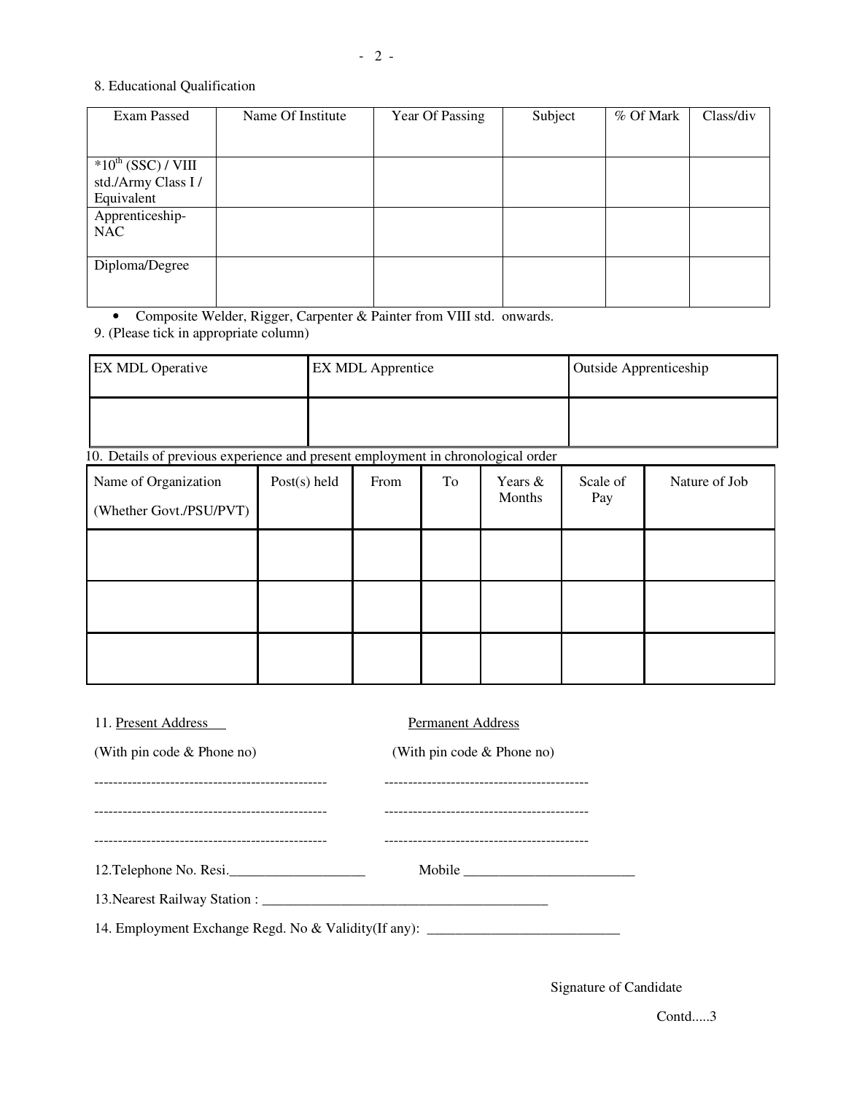#### 8. Educational Qualification

| Exam Passed                               | Name Of Institute | Year Of Passing | Subject | % Of Mark | Class/div |
|-------------------------------------------|-------------------|-----------------|---------|-----------|-----------|
|                                           |                   |                 |         |           |           |
|                                           |                   |                 |         |           |           |
| $\overline{*}10^{\text{th}}$ (SSC) / VIII |                   |                 |         |           |           |
| std./Army Class I/                        |                   |                 |         |           |           |
| Equivalent                                |                   |                 |         |           |           |
| Apprenticeship-                           |                   |                 |         |           |           |
| <b>NAC</b>                                |                   |                 |         |           |           |
|                                           |                   |                 |         |           |           |
| Diploma/Degree                            |                   |                 |         |           |           |
|                                           |                   |                 |         |           |           |
|                                           |                   |                 |         |           |           |

• Composite Welder, Rigger, Carpenter & Painter from VIII std. onwards.

9. (Please tick in appropriate column)

| <b>EX MDL Operative</b> | <b>EX MDL Apprentice</b> | Outside Apprenticeship |
|-------------------------|--------------------------|------------------------|
|                         |                          |                        |

10. Details of previous experience and present employment in chronological order

| Name of Organization<br>(Whether Govt./PSU/PVT) | Post $(s)$ held | From | To | Years &<br>Months | Scale of<br>Pay | Nature of Job |
|-------------------------------------------------|-----------------|------|----|-------------------|-----------------|---------------|
|                                                 |                 |      |    |                   |                 |               |
|                                                 |                 |      |    |                   |                 |               |
|                                                 |                 |      |    |                   |                 |               |

| 11. Present Address                                                              | <b>Permanent Address</b>     |  |  |  |  |  |  |
|----------------------------------------------------------------------------------|------------------------------|--|--|--|--|--|--|
| (With pin code $&$ Phone no)                                                     | (With pin code $&$ Phone no) |  |  |  |  |  |  |
|                                                                                  |                              |  |  |  |  |  |  |
|                                                                                  |                              |  |  |  |  |  |  |
|                                                                                  |                              |  |  |  |  |  |  |
| 12. Telephone No. Resi.                                                          | Mobile                       |  |  |  |  |  |  |
|                                                                                  |                              |  |  |  |  |  |  |
| 14. Employment Exchange Regd. No & Validity (If any): __________________________ |                              |  |  |  |  |  |  |

Signature of Candidate

Contd.....3